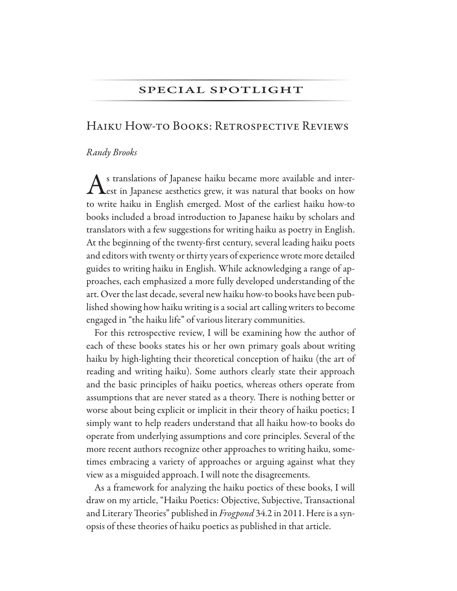#### SPECIAL SPOTLIGHT

# HAIKU HOW-TO BOOKS: RETROSPECTIVE REVIEWS

#### Randy Brooks

Stranslations of Japanese haiku became more available and inter-Thest in Japanese aesthetics grew, it was natural that books on how to write haiku in English emerged. Most of the earliest haiku how-to books included a broad introduction to Japanese haiku by scholars and translators with a few suggestions for writing haiku as poetry in English. At the beginning of the twenty-first century, several leading haiku poets and editors with twenty or thirty years of experience wrote more detailed guides to writing haiku in English. While acknowledging a range of approaches, each emphasized a more fully developed understanding of the art. Over the last decade, several new haiku how-to books have been published showing how haiku writing is a social art calling writers to become engaged in "the haiku life" of various literary communities.

For this retrospective review, I will be examining how the author of each of these books states his or her own primary goals about writing haiku by high-lighting their theoretical conception of haiku (the art of reading and writing haiku). Some authors clearly state their approach and the basic principles of haiku poetics, whereas others operate from assumptions that are never stated as a theory. There is nothing better or worse about being explicit or implicit in their theory of haiku poetics; I simply want to help readers understand that all haiku how-to books do operate from underlying assumptions and core principles. Several of the more recent authors recognize other approaches to writing haiku, sometimes embracing a variety of approaches or arguing against what they view as a misguided approach. I will note the disagreements.

As a framework for analyzing the haiku poetics of these books, I will draw on my article, "Haiku Poetics: Objective, Subjective, Transactional and Literary Theories" published in Frogpond 34.2 in 2011. Here is a synopsis of these theories of haiku poetics as published in that article.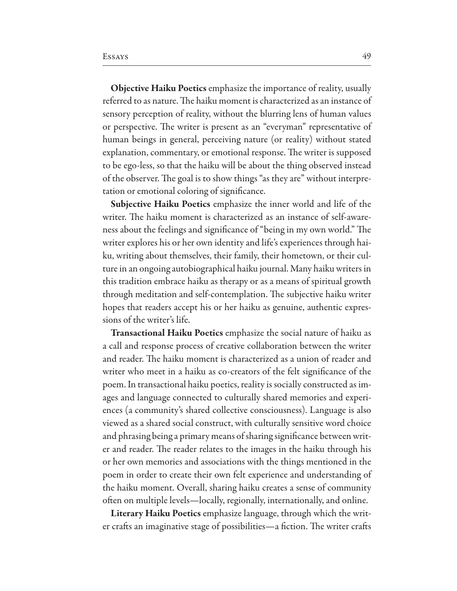**Objective Haiku Poetics** emphasize the importance of reality, usually referred to as nature. The haiku moment is characterized as an instance of sensory perception of reality, without the blurring lens of human values or perspective. The writer is present as an "everyman" representative of human beings in general, perceiving nature (or reality) without stated explanation, commentary, or emotional response. The writer is supposed to be ego-less, so that the haiku will be about the thing observed instead of the observer. The goal is to show things "as they are" without interpretation or emotional coloring of significance.

Subjective Haiku Poetics emphasize the inner world and life of the writer. The haiku moment is characterized as an instance of self-awareness about the feelings and significance of "being in my own world." The writer explores his or her own identity and life's experiences through haiku, writing about themselves, their family, their hometown, or their culture in an ongoing autobiographical haiku journal. Many haiku writers in this tradition embrace haiku as therapy or as a means of spiritual growth through meditation and self-contemplation. The subjective haiku writer hopes that readers accept his or her haiku as genuine, authentic expressions of the writer's life.

Transactional Haiku Poetics emphasize the social nature of haiku as a call and response process of creative collaboration between the writer and reader. The haiku moment is characterized as a union of reader and writer who meet in a haiku as co-creators of the felt significance of the poem. In transactional haiku poetics, reality is socially constructed as images and language connected to culturally shared memories and experiences (a community's shared collective consciousness). Language is also viewed as a shared social construct, with culturally sensitive word choice and phrasing being a primary means of sharing significance between writer and reader. The reader relates to the images in the haiku through his or her own memories and associations with the things mentioned in the poem in order to create their own felt experience and understanding of the haiku moment. Overall, sharing haiku creates a sense of community often on multiple levels—locally, regionally, internationally, and online.

Literary Haiku Poetics emphasize language, through which the writer crafts an imaginative stage of possibilities—a fiction. The writer crafts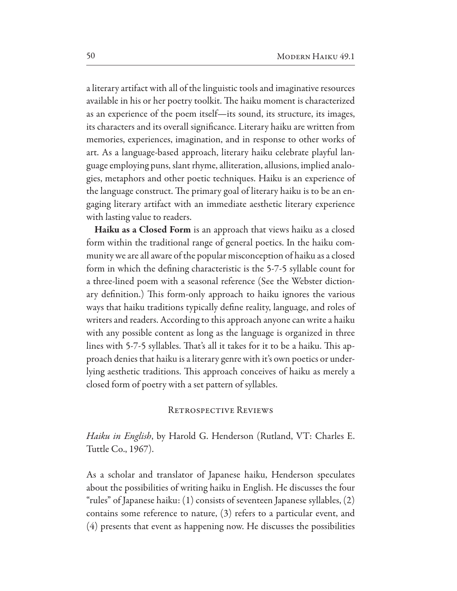a literary artifact with all of the linguistic tools and imaginative resources available in his or her poetry toolkit. The haiku moment is characterized as an experience of the poem itself—its sound, its structure, its images, its characters and its overall significance. Literary haiku are written from memories, experiences, imagination, and in response to other works of art. As a language-based approach, literary haiku celebrate playful language employing puns, slant rhyme, alliteration, allusions, implied analogies, metaphors and other poetic techniques. Haiku is an experience of the language construct. The primary goal of literary haiku is to be an engaging literary artifact with an immediate aesthetic literary experience with lasting value to readers.

Haiku as a Closed Form is an approach that views haiku as a closed form within the traditional range of general poetics. In the haiku community we are all aware of the popular misconception of haiku as a closed form in which the defining characteristic is the 5-7-5 syllable count for a three-lined poem with a seasonal reference (See the Webster dictionary definition.) This form-only approach to haiku ignores the various ways that haiku traditions typically define reality, language, and roles of writers and readers. According to this approach anyone can write a haiku with any possible content as long as the language is organized in three lines with 5-7-5 syllables. That's all it takes for it to be a haiku. This approach denies that haiku is a literary genre with it's own poetics or underlying aesthetic traditions. This approach conceives of haiku as merely a closed form of poetry with a set pattern of syllables.

#### RETROSPECTIVE REVIEWS

*Haiku in English*, by Harold G. Henderson (Rutland, VT: Charles E. Tuttle Co., 1967).

As a scholar and translator of Japanese haiku, Henderson speculates about the possibilities of writing haiku in English. He discusses the four "rules" of Japanese haiku:  $(1)$  consists of seventeen Japanese syllables,  $(2)$ contains some reference to nature,  $(3)$  refers to a particular event, and (4) presents that event as happening now. He discusses the possibilities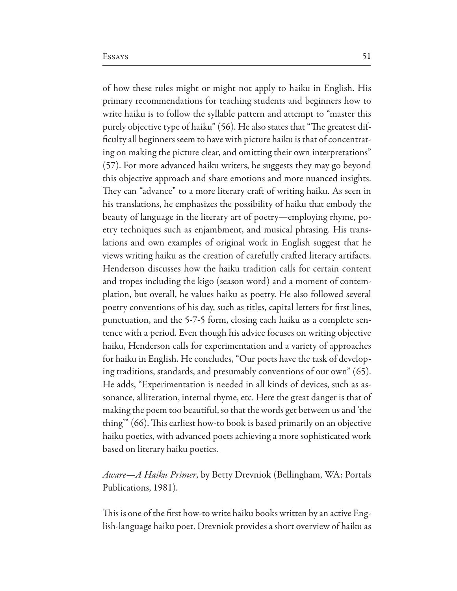of how these rules might or might not apply to haiku in English. His primary recommendations for teaching students and beginners how to write haiku is to follow the syllable pattern and attempt to "master this purely objective type of haiku" (56). He also states that "The greatest difficulty all beginners seem to have with picture haiku is that of concentrating on making the picture clear, and omitting their own interpretations" (57). For more advanced haiku writers, he suggests they may go beyond this objective approach and share emotions and more nuanced insights. They can "advance" to a more literary craft of writing haiku. As seen in his translations, he emphasizes the possibility of haiku that embody the beauty of language in the literary art of poetry—employing rhyme, poetry techniques such as enjambment, and musical phrasing. His translations and own examples of original work in English suggest that he views writing haiku as the creation of carefully crafted literary artifacts. Henderson discusses how the haiku tradition calls for certain content and tropes including the kigo (season word) and a moment of contemplation, but overall, he values haiku as poetry. He also followed several poetry conventions of his day, such as titles, capital letters for first lines, punctuation, and the 5-7-5 form, closing each haiku as a complete sentence with a period. Even though his advice focuses on writing objective haiku, Henderson calls for experimentation and a variety of approaches for haiku in English. He concludes, "Our poets have the task of developing traditions, standards, and presumably conventions of our own" (65). He adds, "Experimentation is needed in all kinds of devices, such as assonance, alliteration, internal rhyme, etc. Here the great danger is that of making the poem too beautiful, so that the words get between us and 'the thing" (66). This earliest how-to book is based primarily on an objective haiku poetics, with advanced poets achieving a more sophisticated work based on literary haiku poetics.

*Aware—A Haiku Primer*, by Betty Drevniok (Bellingham, WA: Portals Publications, 1981).

This is one of the first how-to write haiku books written by an active English-language haiku poet. Drevniok provides a short overview of haiku as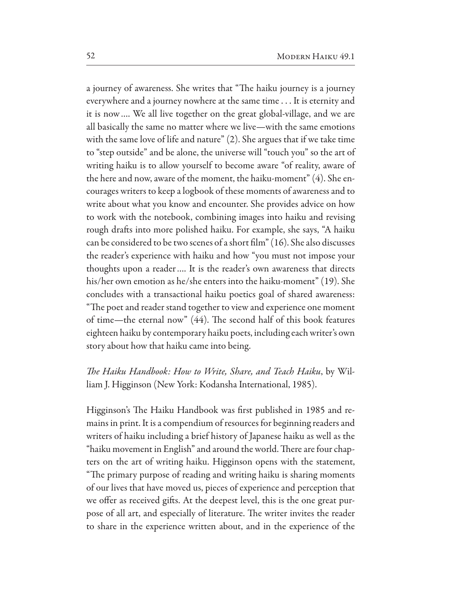a journey of awareness. She writes that "The haiku journey is a journey everywhere and a journey nowhere at the same time . . . It is eternity and it is now.... We all live together on the great global-village, and we are all basically the same no matter where we live—with the same emotions with the same love of life and nature" (2). She argues that if we take time to "step outside" and be alone, the universe will "touch you" so the art of writing haiku is to allow yourself to become aware "of reality, aware of the here and now, aware of the moment, the haiku-moment" (4). She encourages writers to keep a logbook of these moments of awareness and to write about what you know and encounter. She provides advice on how to work with the notebook, combining images into haiku and revising rough drafts into more polished haiku. For example, she says, "A haiku can be considered to be two scenes of a short film" (16). She also discusses the reader's experience with haiku and how "you must not impose your thoughts upon a reader.... It is the reader's own awareness that directs his/her own emotion as he/she enters into the haiku-moment" (19). She concludes with a transactional haiku poetics goal of shared awareness: "The poet and reader stand together to view and experience one moment of time—the eternal now" (44). The second half of this book features eighteen haiku by contemporary haiku poets, including each writer's own story about how that haiku came into being.

The Haiku Handbook: How to Write, Share, and Teach Haiku, by William J. Higginson (New York: Kodansha International, 1985).

Higginson's The Haiku Handbook was first published in 1985 and remains in print. It is a compendium of resources for beginning readers and writers of haiku including a brief history of Japanese haiku as well as the "haiku movement in English" and around the world. There are four chapters on the art of writing haiku. Higginson opens with the statement, "The primary purpose of reading and writing haiku is sharing moments of our lives that have moved us, pieces of experience and perception that we offer as received gifts. At the deepest level, this is the one great purpose of all art, and especially of literature. The writer invites the reader to share in the experience written about, and in the experience of the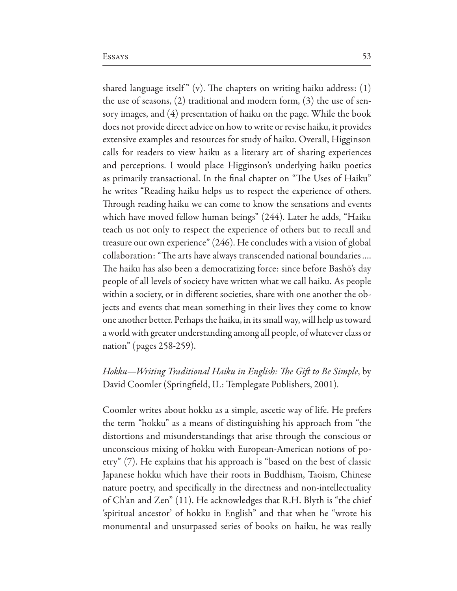shared language itself" (v). The chapters on writing haiku address:  $(1)$ the use of seasons,  $(2)$  traditional and modern form,  $(3)$  the use of sensory images, and (4) presentation of haiku on the page. While the book does not provide direct advice on how to write or revise haiku, it provides extensive examples and resources for study of haiku. Overall, Higginson calls for readers to view haiku as a literary art of sharing experiences and perceptions. I would place Higginson's underlying haiku poetics as primarily transactional. In the final chapter on "The Uses of Haiku" he writes "Reading haiku helps us to respect the experience of others. Through reading haiku we can come to know the sensations and events which have moved fellow human beings" (244). Later he adds, "Haiku teach us not only to respect the experience of others but to recall and treasure our own experience" (246). He concludes with a vision of global collaboration: "The arts have always transcended national boundaries.... The haiku has also been a democratizing force: since before Bashō's day people of all levels of society have written what we call haiku. As people within a society, or in different societies, share with one another the objects and events that mean something in their lives they come to know one another better. Perhaps the haiku, in its small way, will help us toward a world with greater understanding among all people, of whatever class or nation" (pages 258-259).

Hokku—Writing Traditional Haiku in English: The Gift to Be Simple, by David Coomler (Springfield, IL: Templegate Publishers, 2001).

Coomler writes about hokku as a simple, ascetic way of life. He prefers the term "hokku" as a means of distinguishing his approach from "the distortions and misunderstandings that arise through the conscious or unconscious mixing of hokku with European-American notions of poetry" (7). He explains that his approach is "based on the best of classic Japanese hokku which have their roots in Buddhism, Taoism, Chinese nature poetry, and specifically in the directness and non-intellectuality of Ch'an and Zen" (11). He acknowledges that R.H. Blyth is "the chief 'spiritual ancestor' of hokku in English" and that when he "wrote his monumental and unsurpassed series of books on haiku, he was really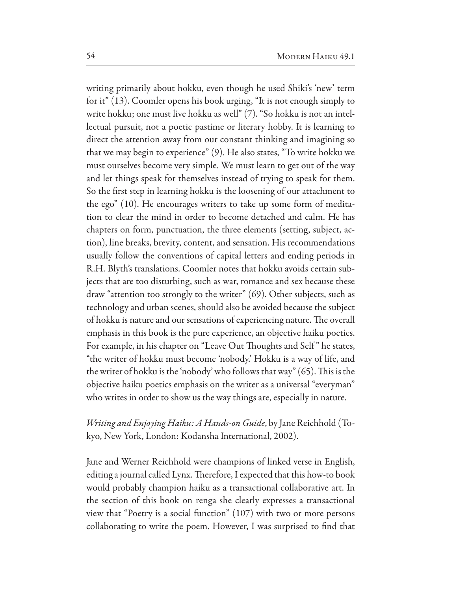writing primarily about hokku, even though he used Shiki's 'new' term for it" (13). Coomler opens his book urging, "It is not enough simply to write hokku; one must live hokku as well" (7). "So hokku is not an intellectual pursuit, not a poetic pastime or literary hobby. It is learning to direct the attention away from our constant thinking and imagining so that we may begin to experience" (9). He also states, "To write hokku we must ourselves become very simple. We must learn to get out of the way and let things speak for themselves instead of trying to speak for them. So the first step in learning hokku is the loosening of our attachment to the ego" (10). He encourages writers to take up some form of meditation to clear the mind in order to become detached and calm. He has chapters on form, punctuation, the three elements (setting, subject, action), line breaks, brevity, content, and sensation. His recommendations usually follow the conventions of capital letters and ending periods in R.H. Blyth's translations. Coomler notes that hokku avoids certain subjects that are too disturbing, such as war, romance and sex because these draw "attention too strongly to the writer"  $(69)$ . Other subjects, such as technology and urban scenes, should also be avoided because the subject of hokku is nature and our sensations of experiencing nature. The overall emphasis in this book is the pure experience, an objective haiku poetics. For example, in his chapter on "Leave Out Thoughts and Self" he states, "the writer of hokku must become 'nobody.' Hokku is a way of life, and the writer of hokku is the 'nobody' who follows that way" (65). This is the objective haiku poetics emphasis on the writer as a universal "everyman" who writes in order to show us the way things are, especially in nature.

### Writing and Enjoying Haiku: A Hands-on Guide, by Jane Reichhold (Tokyo, New York, London: Kodansha International, 2002).

Jane and Werner Reichhold were champions of linked verse in English, editing a journal called Lynx. Therefore, I expected that this how-to book would probably champion haiku as a transactional collaborative art. In the section of this book on renga she clearly expresses a transactional view that "Poetry is a social function"  $(107)$  with two or more persons collaborating to write the poem. However, I was surprised to find that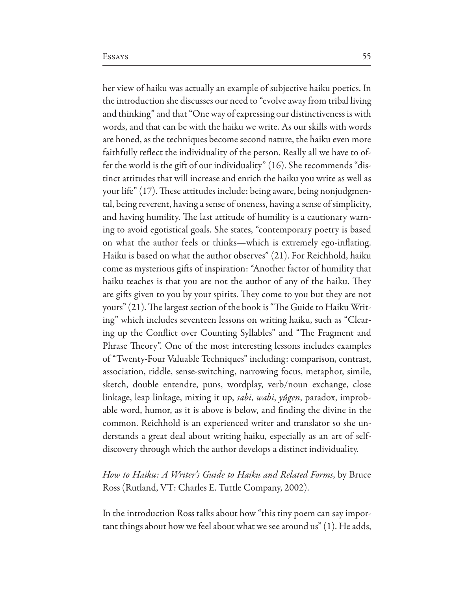her view of haiku was actually an example of subjective haiku poetics. In the introduction she discusses our need to "evolve away from tribal living and thinking" and that "One way of expressing our distinctiveness is with words, and that can be with the haiku we write. As our skills with words are honed, as the techniques become second nature, the haiku even more faithfully reflect the individuality of the person. Really all we have to offer the world is the gift of our individuality" (16). She recommends "distinct attitudes that will increase and enrich the haiku you write as well as your life" (17). These attitudes include: being aware, being nonjudgmental, being reverent, having a sense of oneness, having a sense of simplicity, and having humility. The last attitude of humility is a cautionary warning to avoid egotistical goals. She states, "contemporary poetry is based on what the author feels or thinks—which is extremely ego-inflating. Haiku is based on what the author observes" (21). For Reichhold, haiku come as mysterious gifts of inspiration: "Another factor of humility that haiku teaches is that you are not the author of any of the haiku. They are gifts given to you by your spirits. They come to you but they are not yours" (21). The largest section of the book is "The Guide to Haiku Writing" which includes seventeen lessons on writing haiku, such as "Clearing up the Conflict over Counting Syllables" and "The Fragment and Phrase Theory". One of the most interesting lessons includes examples of "Twenty-Four Valuable Techniques" including: comparison, contrast, association, riddle, sense-switching, narrowing focus, metaphor, simile, sketch, double entendre, puns, wordplay, verb/noun exchange, close linkage, leap linkage, mixing it up, *sabi, wabi, yûgen*, paradox, improbable word, humor, as it is above is below, and finding the divine in the common. Reichhold is an experienced writer and translator so she understands a great deal about writing haiku, especially as an art of selfdiscovery through which the author develops a distinct individuality.

How to Haiku: A Writer's Guide to Haiku and Related Forms, by Bruce Ross (Rutland, VT: Charles E. Tuttle Company, 2002).

In the introduction Ross talks about how "this tiny poem can say important things about how we feel about what we see around us"  $(1)$ . He adds,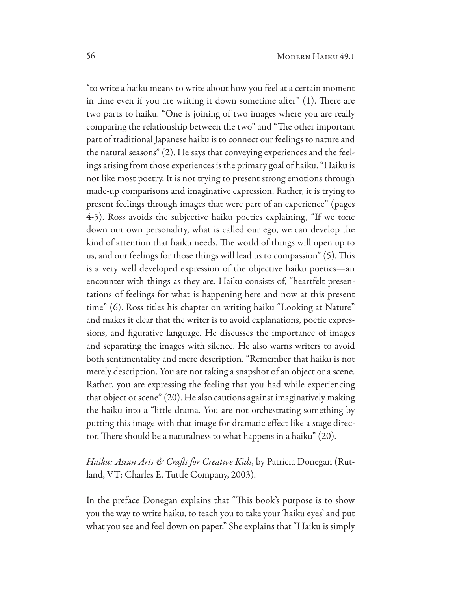"to write a haiku means to write about how you feel at a certain moment in time even if you are writing it down sometime after"  $(1)$ . There are two parts to haiku. "One is joining of two images where you are really comparing the relationship between the two" and "The other important part of traditional Japanese haiku is to connect our feelings to nature and the natural seasons" (2). He says that conveying experiences and the feelings arising from those experiences is the primary goal of haiku. "Haiku is not like most poetry. It is not trying to present strong emotions through made-up comparisons and imaginative expression. Rather, it is trying to present feelings through images that were part of an experience" (pages 4-5). Ross avoids the subjective haiku poetics explaining, "If we tone down our own personality, what is called our ego, we can develop the kind of attention that haiku needs. The world of things will open up to us, and our feelings for those things will lead us to compassion" (5). This is a very well developed expression of the objective haiku poetics—an encounter with things as they are. Haiku consists of, "heartfelt presentations of feelings for what is happening here and now at this present time" (6). Ross titles his chapter on writing haiku "Looking at Nature" and makes it clear that the writer is to avoid explanations, poetic expressions, and figurative language. He discusses the importance of images and separating the images with silence. He also warns writers to avoid both sentimentality and mere description. "Remember that haiku is not merely description. You are not taking a snapshot of an object or a scene. Rather, you are expressing the feeling that you had while experiencing that object or scene" (20). He also cautions against imaginatively making the haiku into a "little drama. You are not orchestrating something by putting this image with that image for dramatic effect like a stage director. There should be a naturalness to what happens in a haiku" (20).

*Haiku: Asian Arts & Crafts for Creative Kids*, by Patricia Donegan (Rutland, VT: Charles E. Tuttle Company, 2003).

In the preface Donegan explains that "This book's purpose is to show you the way to write haiku, to teach you to take your 'haiku eyes' and put what you see and feel down on paper." She explains that "Haiku is simply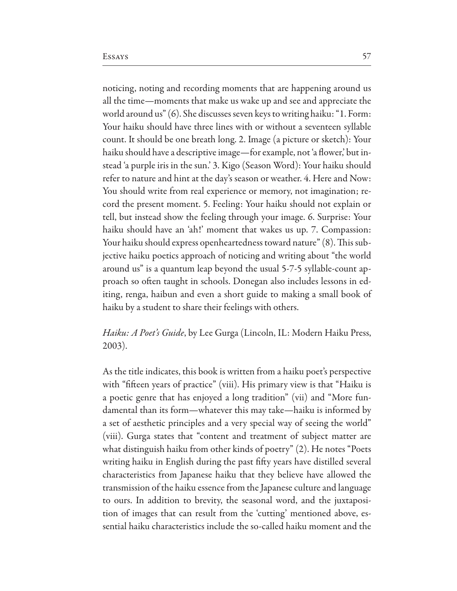noticing, noting and recording moments that are happening around us all the time—moments that make us wake up and see and appreciate the world around us" (6). She discusses seven keys to writing haiku: "1. Form: Your haiku should have three lines with or without a seventeen syllable count. It should be one breath long. 2. Image (a picture or sketch): Your haiku should have a descriptive image—for example, not 'a flower,' but instead 'a purple iris in the sun.' 3. Kigo (Season Word): Your haiku should refer to nature and hint at the day's season or weather. 4. Here and Now: You should write from real experience or memory, not imagination; record the present moment. 5. Feeling: Your haiku should not explain or tell, but instead show the feeling through your image. 6. Surprise: Your haiku should have an 'ah!' moment that wakes us up. 7. Compassion: Your haiku should express openheartedness toward nature" (8). This subjective haiku poetics approach of noticing and writing about "the world around us" is a quantum leap beyond the usual 5-7-5 syllable-count approach so often taught in schools. Donegan also includes lessons in editing, renga, haibun and even a short guide to making a small book of haiku by a student to share their feelings with others.

### *Haiku: A Poet's Guide*, by Lee Gurga (Lincoln, IL: Modern Haiku Press,  $2003$ ).

As the title indicates, this book is written from a haiku poet's perspective with "fifteen years of practice" (viii). His primary view is that "Haiku is a poetic genre that has enjoyed a long tradition" (vii) and "More fundamental than its form—whatever this may take—haiku is informed by a set of aesthetic principles and a very special way of seeing the world" (viii). Gurga states that "content and treatment of subject matter are what distinguish haiku from other kinds of poetry" (2). He notes "Poets" writing haiku in English during the past fifty years have distilled several characteristics from Japanese haiku that they believe have allowed the transmission of the haiku essence from the Japanese culture and language to ours. In addition to brevity, the seasonal word, and the juxtaposition of images that can result from the 'cutting' mentioned above, essential haiku characteristics include the so-called haiku moment and the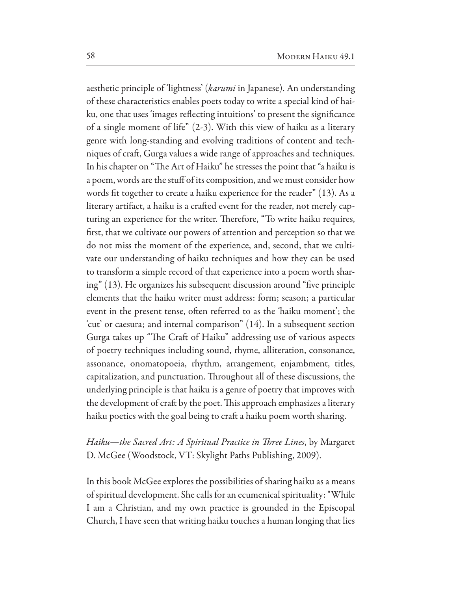aesthetic principle of 'lightness' (karumi in Japanese). An understanding of these characteristics enables poets today to write a special kind of haiku, one that uses 'images reflecting intuitions' to present the significance of a single moment of life" (2-3). With this view of haiku as a literary genre with long-standing and evolving traditions of content and techniques of craft, Gurga values a wide range of approaches and techniques. In his chapter on "The Art of Haiku" he stresses the point that "a haiku is a poem, words are the stuff of its composition, and we must consider how words fit together to create a haiku experience for the reader" (13). As a literary artifact, a haiku is a crafted event for the reader, not merely capturing an experience for the writer. Therefore, "To write haiku requires, first, that we cultivate our powers of attention and perception so that we do not miss the moment of the experience, and, second, that we cultivate our understanding of haiku techniques and how they can be used to transform a simple record of that experience into a poem worth sharing" (13). He organizes his subsequent discussion around "five principle" elements that the haiku writer must address: form; season; a particular event in the present tense, often referred to as the 'haiku moment'; the 'cut' or caesura; and internal comparison"  $(14)$ . In a subsequent section Gurga takes up "The Craft of Haiku" addressing use of various aspects of poetry techniques including sound, rhyme, alliteration, consonance, assonance, onomatopoeia, rhythm, arrangement, enjambment, titles, capitalization, and punctuation. Throughout all of these discussions, the underlying principle is that haiku is a genre of poetry that improves with the development of craft by the poet. This approach emphasizes a literary haiku poetics with the goal being to craft a haiku poem worth sharing.

## Haiku—the Sacred Art: A Spiritual Practice in Three Lines, by Margaret D. McGee (Woodstock, VT: Skylight Paths Publishing, 2009).

In this book McGee explores the possibilities of sharing haiku as a means of spiritual development. She calls for an ecumenical spirituality: "While I am a Christian, and my own practice is grounded in the Episcopal Church, I have seen that writing haiku touches a human longing that lies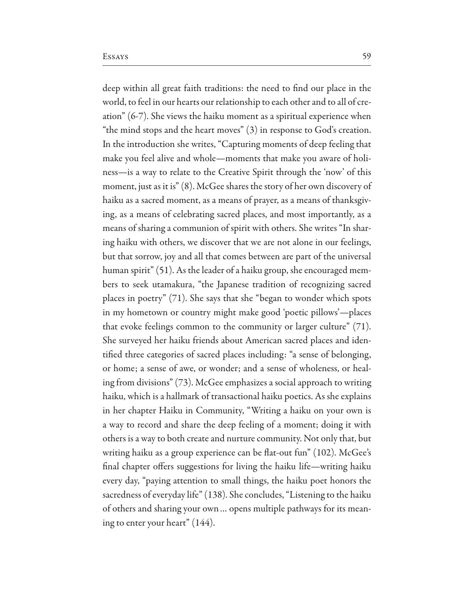deep within all great faith traditions: the need to find our place in the world, to feel in our hearts our relationship to each other and to all of creation"  $(6-7)$ . She views the haiku moment as a spiritual experience when "the mind stops and the heart moves"  $(3)$  in response to God's creation. In the introduction she writes, "Capturing moments of deep feeling that make you feel alive and whole—moments that make you aware of holiness—is a way to relate to the Creative Spirit through the 'now' of this moment, just as it is" (8). McGee shares the story of her own discovery of haiku as a sacred moment, as a means of prayer, as a means of thanksgiving, as a means of celebrating sacred places, and most importantly, as a means of sharing a communion of spirit with others. She writes "In sharing haiku with others, we discover that we are not alone in our feelings, but that sorrow, joy and all that comes between are part of the universal human spirit" (51). As the leader of a haiku group, she encouraged members to seek utamakura, "the Japanese tradition of recognizing sacred places in poetry" (71). She says that she "began to wonder which spots in my hometown or country might make good 'poetic pillows'-places that evoke feelings common to the community or larger culture"  $(71)$ . She surveyed her haiku friends about American sacred places and identified three categories of sacred places including: "a sense of belonging, or home; a sense of awe, or wonder; and a sense of wholeness, or healing from divisions" (73). McGee emphasizes a social approach to writing haiku, which is a hallmark of transactional haiku poetics. As she explains in her chapter Haiku in Community, "Writing a haiku on your own is a way to record and share the deep feeling of a moment; doing it with others is a way to both create and nurture community. Not only that, but writing haiku as a group experience can be flat-out fun" (102). McGee's final chapter offers suggestions for living the haiku life—writing haiku every day, "paying attention to small things, the haiku poet honors the sacredness of everyday life" (138). She concludes, "Listening to the haiku

of others and sharing your own ... opens multiple pathways for its mean-

ing to enter your heart"  $(144)$ .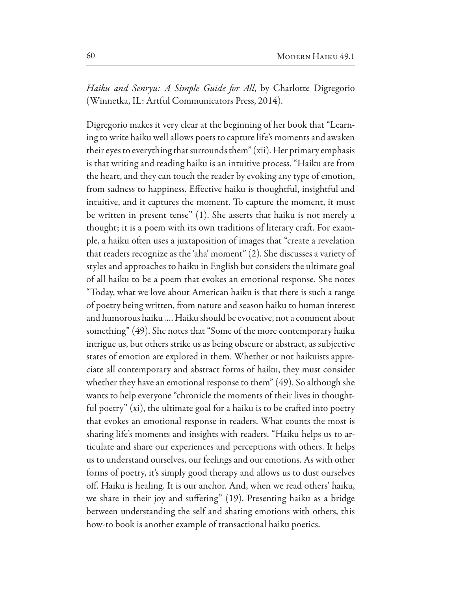*Haiku and Senryu: A Simple Guide for All*, by Charlotte Digregorio (Winnetka, IL: Artful Communicators Press, 2014).

Digregorio makes it very clear at the beginning of her book that "Learning to write haiku well allows poets to capture life's moments and awaken their eyes to everything that surrounds them" (xii). Her primary emphasis is that writing and reading haiku is an intuitive process. "Haiku are from the heart, and they can touch the reader by evoking any type of emotion, from sadness to happiness. Effective haiku is thoughtful, insightful and intuitive, and it captures the moment. To capture the moment, it must be written in present tense" (1). She asserts that haiku is not merely a thought; it is a poem with its own traditions of literary craft. For example, a haiku often uses a juxtaposition of images that "create a revelation that readers recognize as the 'aha' moment" (2). She discusses a variety of styles and approaches to haiku in English but considers the ultimate goal of all haiku to be a poem that evokes an emotional response. She notes "Today, what we love about American haiku is that there is such a range of poetry being written, from nature and season haiku to human interest and humorous haiku .... Haiku should be evocative, not a comment about something" (49). She notes that "Some of the more contemporary haiku intrigue us, but others strike us as being obscure or abstract, as subjective states of emotion are explored in them. Whether or not haikuists appreciate all contemporary and abstract forms of haiku, they must consider whether they have an emotional response to them"  $(49)$ . So although she wants to help everyone "chronicle the moments of their lives in thoughtful poetry"  $(xi)$ , the ultimate goal for a haiku is to be crafted into poetry that evokes an emotional response in readers. What counts the most is sharing life's moments and insights with readers. "Haiku helps us to articulate and share our experiences and perceptions with others. It helps us to understand ourselves, our feelings and our emotions. As with other forms of poetry, it's simply good therapy and allows us to dust ourselves off. Haiku is healing. It is our anchor. And, when we read others' haiku, we share in their joy and suffering" (19). Presenting haiku as a bridge between understanding the self and sharing emotions with others, this how-to book is another example of transactional haiku poetics.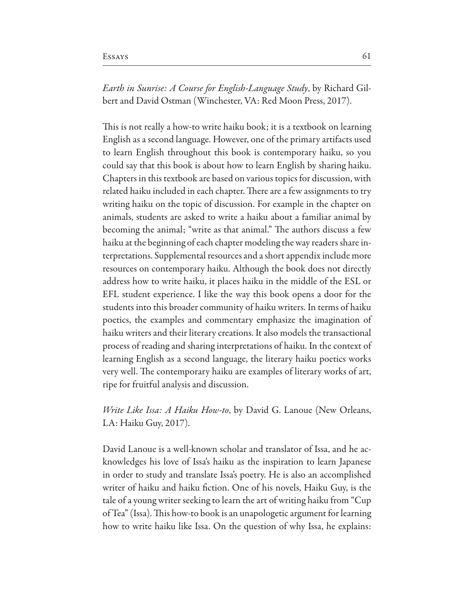*Earth in Sunrise: A Course for English-Language Study*, by Richard Gilbert and David Ostman (Winchester, VA: Red Moon Press, 2017).

This is not really a how-to write haiku book; it is a textbook on learning English as a second language. However, one of the primary artifacts used to learn English throughout this book is contemporary haiku, so you could say that this book is about how to learn English by sharing haiku. Chapters in this textbook are based on various topics for discussion, with related haiku included in each chapter. There are a few assignments to try writing haiku on the topic of discussion. For example in the chapter on animals, students are asked to write a haiku about a familiar animal by becoming the animal; "write as that animal." The authors discuss a few haiku at the beginning of each chapter modeling the way readers share interpretations. Supplemental resources and a short appendix include more resources on contemporary haiku. Although the book does not directly address how to write haiku, it places haiku in the middle of the ESL or EFL student experience. I like the way this book opens a door for the students into this broader community of haiku writers. In terms of haiku poetics, the examples and commentary emphasize the imagination of haiku writers and their literary creations. It also models the transactional process of reading and sharing interpretations of haiku. In the context of learning English as a second language, the literary haiku poetics works very well. The contemporary haiku are examples of literary works of art, ripe for fruitful analysis and discussion.

### Write Like Issa: A Haiku How-to, by David G. Lanoue (New Orleans, LA: Haiku Guy, 2017).

David Lanoue is a well-known scholar and translator of Issa, and he acknowledges his love of Issa's haiku as the inspiration to learn Japanese in order to study and translate Issa's poetry. He is also an accomplished writer of haiku and haiku fiction. One of his novels, Haiku Guy, is the tale of a young writer seeking to learn the art of writing haiku from "Cup of Tea" (Issa). This how-to book is an unapologetic argument for learning how to write haiku like Issa. On the question of why Issa, he explains: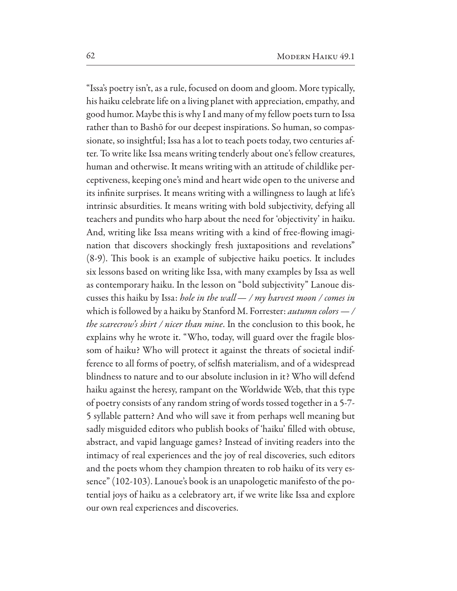"Issa's poetry isn't, as a rule, focused on doom and gloom. More typically, his haiku celebrate life on a living planet with appreciation, empathy, and good humor. Maybe this is why I and many of my fellow poets turn to Issa rather than to Bashō for our deepest inspirations. So human, so compassionate, so insightful; Issa has a lot to teach poets today, two centuries after. To write like Issa means writing tenderly about one's fellow creatures, human and otherwise. It means writing with an attitude of childlike perceptiveness, keeping one's mind and heart wide open to the universe and its infinite surprises. It means writing with a willingness to laugh at life's intrinsic absurdities. It means writing with bold subjectivity, defying all teachers and pundits who harp about the need for 'objectivity' in haiku. And, writing like Issa means writing with a kind of free-flowing imagination that discovers shockingly fresh juxtapositions and revelations" (8-9). This book is an example of subjective haiku poetics. It includes six lessons based on writing like Issa, with many examples by Issa as well as contemporary haiku. In the lesson on "bold subjectivity" Lanoue discusses this haiku by Issa: hole in the wall  $-$  / my harvest moon / comes in which is followed by a haiku by Stanford M. Forrester: *autumn colors*  $-$  / the scarecrow's shirt / nicer than mine. In the conclusion to this book, he explains why he wrote it. "Who, today, will guard over the fragile blossom of haiku? Who will protect it against the threats of societal indifference to all forms of poetry, of selfish materialism, and of a widespread blindness to nature and to our absolute inclusion in it? Who will defend haiku against the heresy, rampant on the Worldwide Web, that this type of poetry consists of any random string of words tossed together in a 5-7-5 syllable pattern? And who will save it from perhaps well meaning but sadly misguided editors who publish books of 'haiku' filled with obtuse, abstract, and vapid language games? Instead of inviting readers into the intimacy of real experiences and the joy of real discoveries, such editors and the poets whom they champion threaten to rob haiku of its very essence" (102-103). Lanoue's book is an unapologetic manifesto of the potential joys of haiku as a celebratory art, if we write like Issa and explore our own real experiences and discoveries.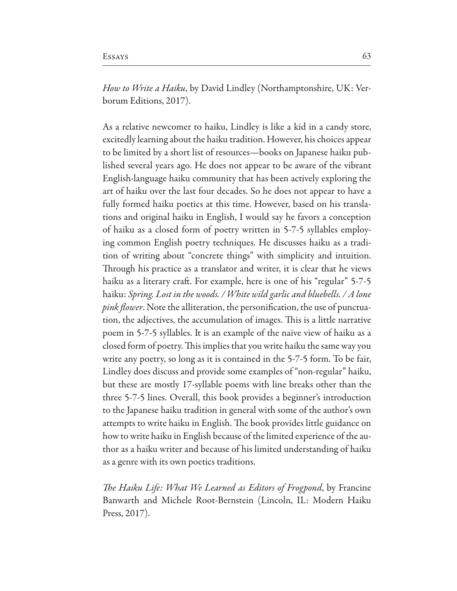*How to Write a Haiku*, by David Lindley (Northamptonshire, UK: Verborum Editions, 2017).

As a relative newcomer to haiku, Lindley is like a kid in a candy store, excitedly learning about the haiku tradition. However, his choices appear to be limited by a short list of resources—books on Japanese haiku published several years ago. He does not appear to be aware of the vibrant English-language haiku community that has been actively exploring the art of haiku over the last four decades. So he does not appear to have a fully formed haiku poetics at this time. However, based on his translations and original haiku in English, I would say he favors a conception of haiku as a closed form of poetry written in 5-7-5 syllables employing common English poetry techniques. He discusses haiku as a tradition of writing about "concrete things" with simplicity and intuition. Through his practice as a translator and writer, it is clear that he views haiku as a literary craft. For example, here is one of his "regular" 5-7-5 haiku: Spring. Lost in the woods. / White wild garlic and bluebells. / A lone *pink flower*. Note the alliteration, the personification, the use of punctuation, the adjectives, the accumulation of images. This is a little narrative poem in 5-7-5 syllables. It is an example of the naïve view of haiku as a closed form of poetry. This implies that you write haiku the same way you write any poetry, so long as it is contained in the 5-7-5 form. To be fair, Lindley does discuss and provide some examples of "non-regular" haiku, but these are mostly 17-syllable poems with line breaks other than the three 5-7-5 lines. Overall, this book provides a beginner's introduction to the Japanese haiku tradition in general with some of the author's own attempts to write haiku in English. The book provides little guidance on how to write haiku in English because of the limited experience of the author as a haiku writer and because of his limited understanding of haiku as a genre with its own poetics traditions.

The Haiku Life: What We Learned as Editors of Frogpond, by Francine Banwarth and Michele Root-Bernstein (Lincoln, IL: Modern Haiku Press,  $2017$ ).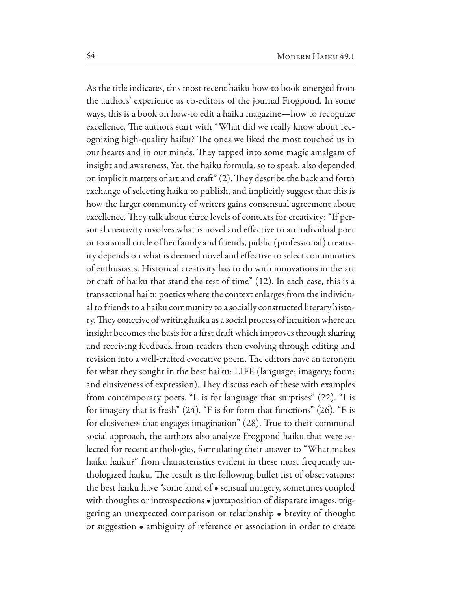As the title indicates, this most recent haiku how-to book emerged from the authors' experience as co-editors of the journal Frogpond. In some ways, this is a book on how-to edit a haiku magazine—how to recognize excellence. The authors start with "What did we really know about recognizing high-quality haiku? The ones we liked the most touched us in our hearts and in our minds. They tapped into some magic amalgam of insight and awareness. Yet, the haiku formula, so to speak, also depended on implicit matters of art and craft" (2). They describe the back and forth exchange of selecting haiku to publish, and implicitly suggest that this is how the larger community of writers gains consensual agreement about excellence. They talk about three levels of contexts for creativity: "If personal creativity involves what is novel and effective to an individual poet or to a small circle of her family and friends, public (professional) creativity depends on what is deemed novel and effective to select communities of enthusiasts. Historical creativity has to do with innovations in the art or craft of haiku that stand the test of time" (12). In each case, this is a transactional haiku poetics where the context enlarges from the individual to friends to a haiku community to a socially constructed literary history. They conceive of writing haiku as a social process of intuition where an insight becomes the basis for a first draft which improves through sharing and receiving feedback from readers then evolving through editing and revision into a well-crafted evocative poem. The editors have an acronym for what they sought in the best haiku: LIFE (language; imagery; form; and elusiveness of expression). They discuss each of these with examples from contemporary poets. "L is for language that surprises" (22). "I is for imagery that is fresh"  $(24)$ . "F is for form that functions"  $(26)$ . "E is for elusiveness that engages imagination" (28). True to their communal social approach, the authors also analyze Frogpond haiku that were selected for recent anthologies, formulating their answer to "What makes" haiku haiku?" from characteristics evident in these most frequently anthologized haiku. The result is the following bullet list of observations: the best haiku have "some kind of • sensual imagery, sometimes coupled with thoughts or introspections • juxtaposition of disparate images, triggering an unexpected comparison or relationship • brevity of thought or suggestion • ambiguity of reference or association in order to create